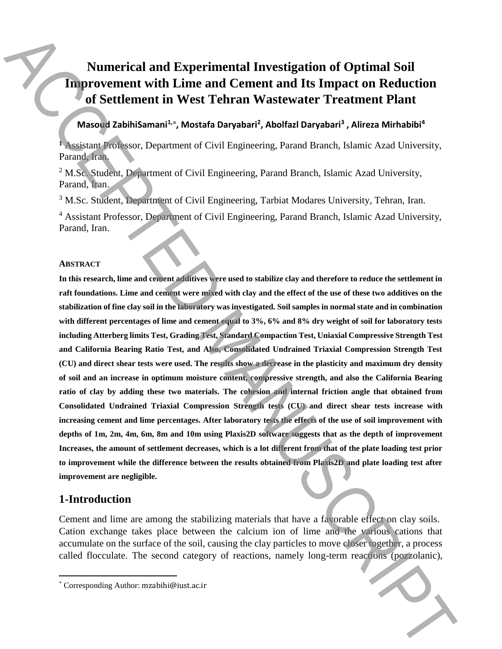# **Numerical and Experimental Investigation of Optimal Soil Improvement with Lime and Cement and Its Impact on Reduction of Settlement in West Tehran Wastewater Treatment Plant**

### **Masoud ZabihiSamani<sup>1,</sup>\*, Mostafa Daryabari<sup>2</sup>, Abolfazl Daryabari<sup>3</sup>, Alireza Mirhabibi<sup>4</sup>**

**<sup>1</sup>** Assistant Professor, Department of Civil Engineering, Parand Branch, Islamic Azad University, Parand, Iran.

<sup>2</sup> M.Sc. Student, Department of Civil Engineering, Parand Branch, Islamic Azad University, Parand, Iran.

<sup>3</sup> M.Sc. Student, Department of Civil Engineering, Tarbiat Modares University, Tehran, Iran.

<sup>4</sup> Assistant Professor, Department of Civil Engineering, Parand Branch, Islamic Azad University, Parand, Iran.

#### **ABSTRACT**

**In this research, lime and cement additives were used to stabilize clay and therefore to reduce the settlement in raft foundations. Lime and cement were mixed with clay and the effect of the use of these two additives on the stabilization of fine clay soil in the laboratory was investigated. Soil samples in normal state and in combination with different percentages of lime and cement equal to 3%, 6% and 8% dry weight of soil for laboratory tests including Atterberg limits Test, Grading Test, Standard Compaction Test, Uniaxial Compressive Strength Test and California Bearing Ratio Test, and Also, Consolidated Undrained Triaxial Compression Strength Test (CU) and direct shear tests were used. The results show a decrease in the plasticity and maximum dry density of soil and an increase in optimum moisture content, compressive strength, and also the California Bearing ratio of clay by adding these two materials. The cohesion and internal friction angle that obtained from Consolidated Undrained Triaxial Compression Strength tests (CU) and direct shear tests increase with increasing cement and lime percentages. After laboratory tests the effects of the use of soil improvement with depths of 1m, 2m, 4m, 6m, 8m and 10m using Plaxis2D software suggests that as the depth of improvement Increases, the amount of settlement decreases, which is a lot different from that of the plate loading test prior to improvement while the difference between the results obtained from Plaxis2D and plate loading test after improvement are negligible.** Numerical and Experimental Investigation of Optimal Soll<br>
Improvement with Lime and Cement and Its Impact on Reduction<br>
of Settlement in West Tehran Wastewater Treatment Plant<br>
(Mason Babilisment's, hostida Darwhart', Abo

## **1-Introduction**

 $\overline{\phantom{a}}$ 

Cement and lime are among the stabilizing materials that have a favorable effect on clay soils. Cation exchange takes place between the calcium ion of lime and the various cations that accumulate on the surface of the soil, causing the clay particles to move closer together, a process called flocculate. The second category of reactions, namely long-term reactions (pozzolanic),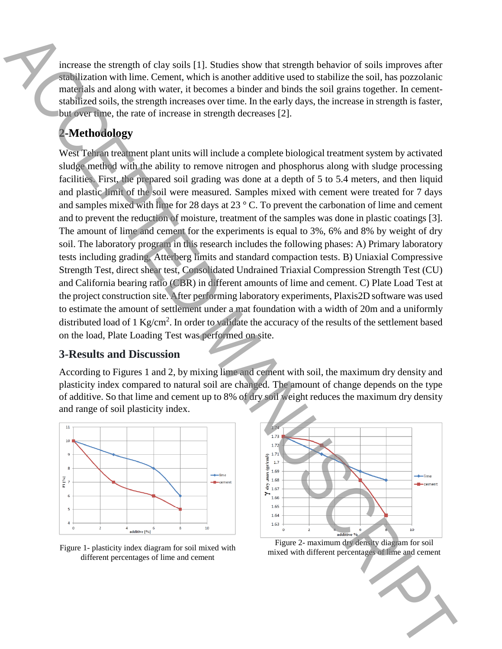increase the strength of clay soils [1]. Studies show that strength behavior of soils improves after stabilization with lime. Cement, which is another additive used to stabilize the soil, has pozzolanic materials and along with water, it becomes a binder and binds the soil grains together. In cementstabilized soils, the strength increases over time. In the early days, the increase in strength is faster, but over time, the rate of increase in strength decreases [2].

# **2-Methodology**

West Tehran treatment plant units will include a complete biological treatment system by activated sludge method with the ability to remove nitrogen and phosphorus along with sludge processing facilities. First, the prepared soil grading was done at a depth of 5 to 5.4 meters, and then liquid and plastic limit of the soil were measured. Samples mixed with cement were treated for 7 days and samples mixed with lime for 28 days at 23 ° C. To prevent the carbonation of lime and cement and to prevent the reduction of moisture, treatment of the samples was done in plastic coatings [3]. The amount of lime and cement for the experiments is equal to 3%, 6% and 8% by weight of dry soil. The laboratory program in this research includes the following phases: A) Primary laboratory tests including grading, Atterberg limits and standard compaction tests. B) Uniaxial Compressive Strength Test, direct shear test, Consolidated Undrained Triaxial Compression Strength Test (CU) and California bearing ratio (CBR) in different amounts of lime and cement. C) Plate Load Test at the project construction site. After performing laboratory experiments, Plaxis2D software was used to estimate the amount of settlement under a mat foundation with a width of 20m and a uniformly distributed load of 1 Kg/cm<sup>2</sup>. In order to validate the accuracy of the results of the settlement based on the load, Plate Loading Test was performed on site. measure the strength of clay velocity. U.S busines show that strength behavior of velocity interests can<br>compute the strength function of the strength interests of limit and cellular<br>and cellular strength in reason correl

#### **3-Results and Discussion**

According to Figures 1 and 2, by mixing lime and cement with soil, the maximum dry density and plasticity index compared to natural soil are changed. The amount of change depends on the type of additive. So that lime and cement up to 8% of dry soil weight reduces the maximum dry density and range of soil plasticity index.



Figure 1- plasticity index diagram for soil mixed with different percentages of lime and cement



Figure 2- maximum dry density diagram for soil